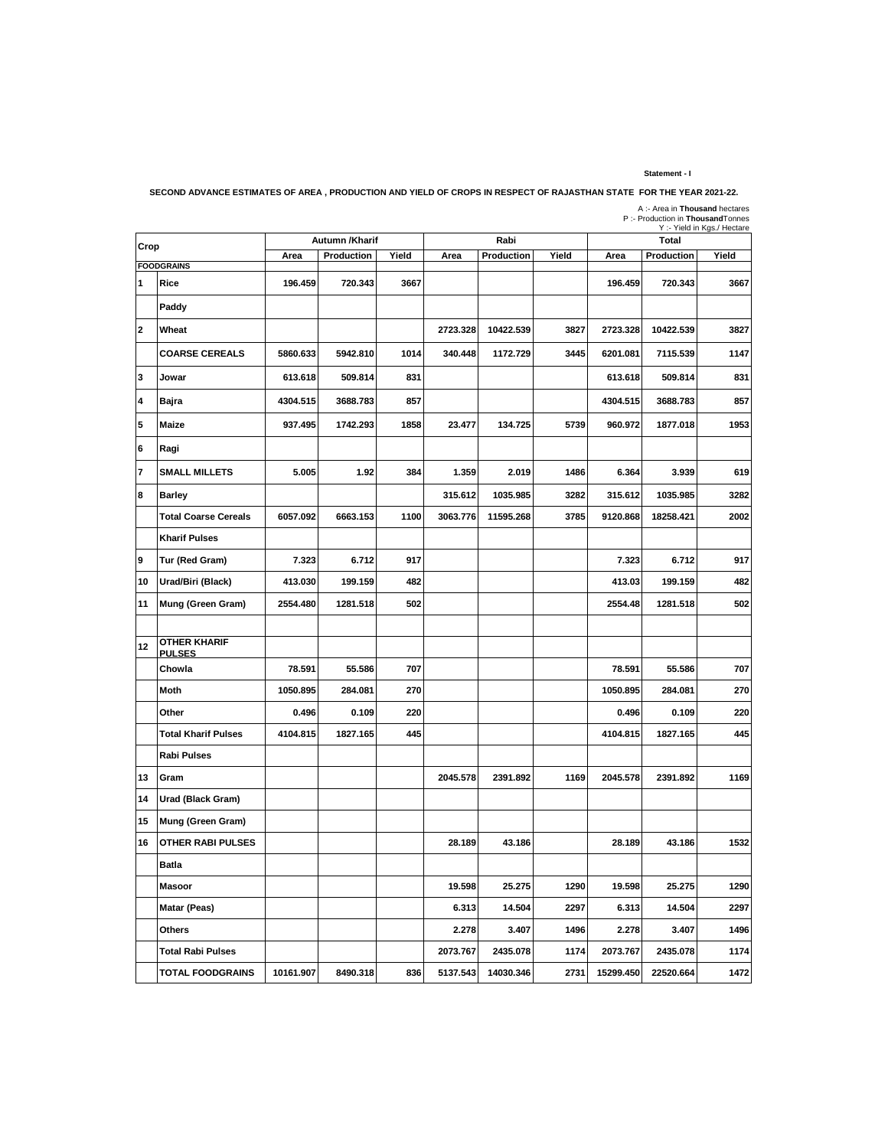## **Statement - I**

**SECOND ADVANCE ESTIMATES OF AREA , PRODUCTION AND YIELD OF CROPS IN RESPECT OF RAJASTHAN STATE FOR THE YEAR 2021-22.**

| 11 JIA IL I UN IIIL I LAI 122 122 . |
|-------------------------------------|
| A :- Area in Thousand hectares      |
| P:- Production in Thousand Tonnes   |
| Y :- Yield in Kgs./ Hectare         |
|                                     |

| Crop           |                                      | Autumn /Kharif |            |       |          | Rabi       |       | r.- rielu lii r\gs./ ⊓eclaie<br><b>Total</b> |            |       |
|----------------|--------------------------------------|----------------|------------|-------|----------|------------|-------|----------------------------------------------|------------|-------|
|                |                                      | Area           | Production | Yield | Area     | Production | Yield | Area                                         | Production | Yield |
| 1              | <b>FOODGRAINS</b><br>Rice            | 196.459        | 720.343    | 3667  |          |            |       | 196.459                                      | 720.343    | 3667  |
|                |                                      |                |            |       |          |            |       |                                              |            |       |
|                | Paddy                                |                |            |       |          |            |       |                                              |            |       |
| $\overline{2}$ | Wheat                                |                |            |       | 2723.328 | 10422.539  | 3827  | 2723.328                                     | 10422.539  | 3827  |
|                | <b>COARSE CEREALS</b>                | 5860.633       | 5942.810   | 1014  | 340.448  | 1172.729   | 3445  | 6201.081                                     | 7115.539   | 1147  |
| 3              | Jowar                                | 613.618        | 509.814    | 831   |          |            |       | 613.618                                      | 509.814    | 831   |
| 4              | Bajra                                | 4304.515       | 3688.783   | 857   |          |            |       | 4304.515                                     | 3688.783   | 857   |
| 5              | Maize                                | 937.495        | 1742.293   | 1858  | 23.477   | 134.725    | 5739  | 960.972                                      | 1877.018   | 1953  |
| $\bf 6$        | Ragi                                 |                |            |       |          |            |       |                                              |            |       |
| $\overline{7}$ | <b>SMALL MILLETS</b>                 | 5.005          | 1.92       | 384   | 1.359    | 2.019      | 1486  | 6.364                                        | 3.939      | 619   |
| 8              | <b>Barley</b>                        |                |            |       | 315.612  | 1035.985   | 3282  | 315.612                                      | 1035.985   | 3282  |
|                | <b>Total Coarse Cereals</b>          | 6057.092       | 6663.153   | 1100  | 3063.776 | 11595.268  | 3785  | 9120.868                                     | 18258.421  | 2002  |
|                | <b>Kharif Pulses</b>                 |                |            |       |          |            |       |                                              |            |       |
| 9              | Tur (Red Gram)                       | 7.323          | 6.712      | 917   |          |            |       | 7.323                                        | 6.712      | 917   |
| 10             | Urad/Biri (Black)                    | 413.030        | 199.159    | 482   |          |            |       | 413.03                                       | 199.159    | 482   |
| 11             | Mung (Green Gram)                    | 2554.480       | 1281.518   | 502   |          |            |       | 2554.48                                      | 1281.518   | 502   |
|                |                                      |                |            |       |          |            |       |                                              |            |       |
| 12             | <b>OTHER KHARIF</b><br><b>PULSES</b> |                |            |       |          |            |       |                                              |            |       |
|                | Chowla                               | 78.591         | 55.586     | 707   |          |            |       | 78.591                                       | 55.586     | 707   |
|                | Moth                                 | 1050.895       | 284.081    | 270   |          |            |       | 1050.895                                     | 284.081    | 270   |
|                | Other                                | 0.496          | 0.109      | 220   |          |            |       | 0.496                                        | 0.109      | 220   |
|                | <b>Total Kharif Pulses</b>           | 4104.815       | 1827.165   | 445   |          |            |       | 4104.815                                     | 1827.165   | 445   |
|                | <b>Rabi Pulses</b>                   |                |            |       |          |            |       |                                              |            |       |
| 13             | Gram                                 |                |            |       | 2045.578 | 2391.892   | 1169  | 2045.578                                     | 2391.892   | 1169  |
| 14             | Urad (Black Gram)                    |                |            |       |          |            |       |                                              |            |       |
| 15             | Mung (Green Gram)                    |                |            |       |          |            |       |                                              |            |       |
| 16             | <b>OTHER RABI PULSES</b>             |                |            |       | 28.189   | 43.186     |       | 28.189                                       | 43.186     | 1532  |
|                | Batla                                |                |            |       |          |            |       |                                              |            |       |
|                | <b>Masoor</b>                        |                |            |       | 19.598   | 25.275     | 1290  | 19.598                                       | 25.275     | 1290  |
|                | Matar (Peas)                         |                |            |       | 6.313    | 14.504     | 2297  | 6.313                                        | 14.504     | 2297  |
|                | Others                               |                |            |       | 2.278    | 3.407      | 1496  | 2.278                                        | 3.407      | 1496  |
|                | <b>Total Rabi Pulses</b>             |                |            |       | 2073.767 | 2435.078   | 1174  | 2073.767                                     | 2435.078   | 1174  |
|                | <b>TOTAL FOODGRAINS</b>              | 10161.907      | 8490.318   | 836   | 5137.543 | 14030.346  | 2731  | 15299.450                                    | 22520.664  | 1472  |